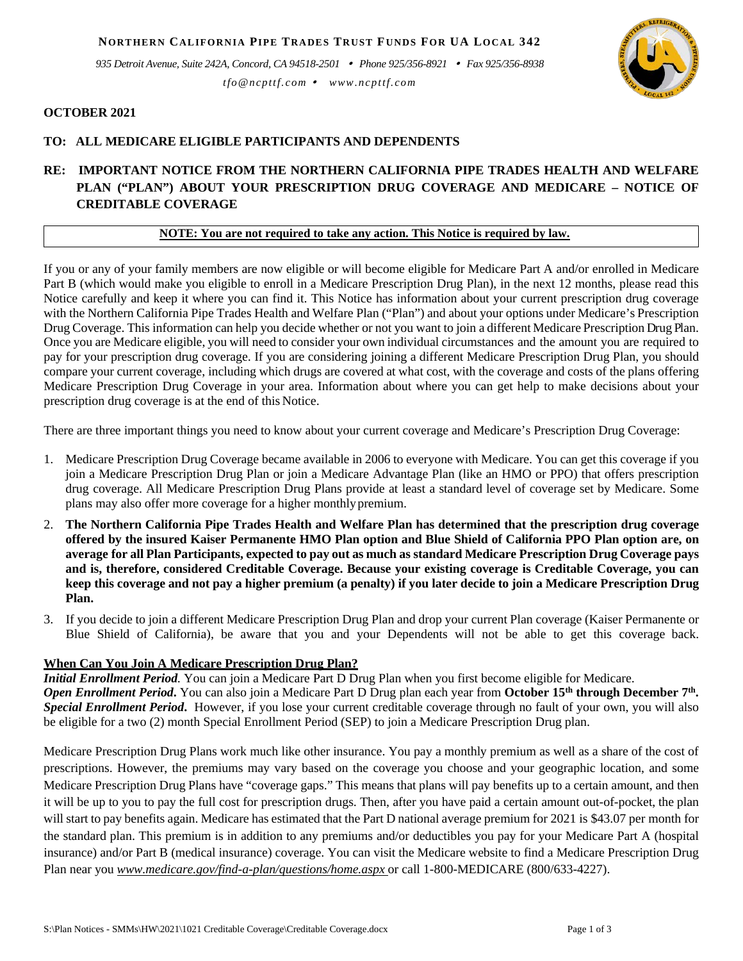*935 Detroit Avenue, Suite 242A, Concord, CA 94518-2501 Phone 925/356-8921 Fax 925/356-8938 tfo@ncpttf.com www.ncpttf.com*



### **OCTOBER 2021**

## **TO: ALL MEDICARE ELIGIBLE PARTICIPANTS AND DEPENDENTS**

# **RE: IMPORTANT NOTICE FROM THE NORTHERN CALIFORNIA PIPE TRADES HEALTH AND WELFARE PLAN ("PLAN") ABOUT YOUR PRESCRIPTION DRUG COVERAGE AND MEDICARE – NOTICE OF CREDITABLE COVERAGE**

## **NOTE: You are not required to take any action. This Notice is required by law.**

If you or any of your family members are now eligible or will become eligible for Medicare Part A and/or enrolled in Medicare Part B (which would make you eligible to enroll in a Medicare Prescription Drug Plan), in the next 12 months, please read this Notice carefully and keep it where you can find it. This Notice has information about your current prescription drug coverage with the Northern California Pipe Trades Health and Welfare Plan ("Plan") and about your options under Medicare's Prescription Drug Coverage. This information can help you decide whether or not you want to join a different Medicare Prescription Drug Plan. Once you are Medicare eligible, you will need to consider your own individual circumstances and the amount you are required to pay for your prescription drug coverage. If you are considering joining a different Medicare Prescription Drug Plan, you should compare your current coverage, including which drugs are covered at what cost, with the coverage and costs of the plans offering Medicare Prescription Drug Coverage in your area. Information about where you can get help to make decisions about your prescription drug coverage is at the end of this Notice.

There are three important things you need to know about your current coverage and Medicare's Prescription Drug Coverage:

- 1. Medicare Prescription Drug Coverage became available in 2006 to everyone with Medicare. You can get this coverage if you join a Medicare Prescription Drug Plan or join a Medicare Advantage Plan (like an HMO or PPO) that offers prescription drug coverage. All Medicare Prescription Drug Plans provide at least a standard level of coverage set by Medicare. Some plans may also offer more coverage for a higher monthlypremium.
- 2. **The Northern California Pipe Trades Health and Welfare Plan has determined that the prescription drug coverage offered by the insured Kaiser Permanente HMO Plan option and Blue Shield of California PPO Plan option are, on**  average for all Plan Participants, expected to pay out as much as standard Medicare Prescription Drug Coverage pays **and is, therefore, considered Creditable Coverage. Because your existing coverage is Creditable Coverage, you can keep this coverage and not pay a higher premium (a penalty) if you later decide to join a Medicare Prescription Drug Plan.**
- 3. If you decide to join a different Medicare Prescription Drug Plan and drop your current Plan coverage (Kaiser Permanente or Blue Shield of California), be aware that you and your Dependents will not be able to get this coverage back.

### **When Can You Join A Medicare Prescription Drug Plan?**

*Initial Enrollment Period.* You can join a Medicare Part D Drug Plan when you first become eligible for Medicare. *Open Enrollment Period***.** You can also join a Medicare Part D Drug plan each year from **October 15th through December 7th.**  *Special Enrollment Period***.** However, if you lose your current creditable coverage through no fault of your own, you will also be eligible for a two (2) month Special Enrollment Period (SEP) to join a Medicare Prescription Drug plan.

Medicare Prescription Drug Plans work much like other insurance. You pay a monthly premium as well as a share of the cost of prescriptions. However, the premiums may vary based on the coverage you choose and your geographic location, and some Medicare Prescription Drug Plans have "coverage gaps." This means that plans will pay benefits up to a certain amount, and then it will be up to you to pay the full cost for prescription drugs. Then, after you have paid a certain amount out-of-pocket, the plan will start to pay benefits again. Medicare has estimated that the Part D national average premium for 2021 is \$43.07 per month for the standard plan. This premium is in addition to any premiums and/or deductibles you pay for your Medicare Part A (hospital insurance) and/or Part B (medical insurance) coverage. You can visit the Medicare website to find a Medicare Prescription Drug Plan near you *[www.medicare.gov/find-a-plan/questions/home.aspx](http://www.medicare.gov/find-a-plan/questions/home.aspx)* or call 1-800-MEDICARE (800/633-4227).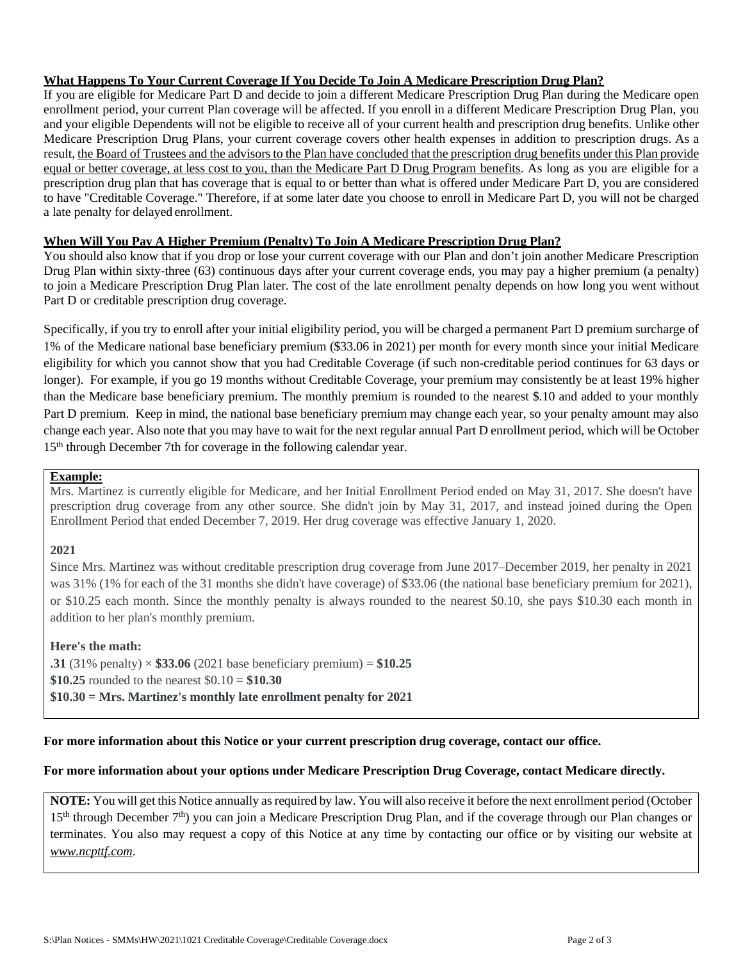# **What Happens To Your Current Coverage If You Decide To Join A Medicare Prescription Drug Plan?**

If you are eligible for Medicare Part D and decide to join a different Medicare Prescription Drug Plan during the Medicare open enrollment period, your current Plan coverage will be affected. If you enroll in a different Medicare Prescription Drug Plan, you and your eligible Dependents will not be eligible to receive all of your current health and prescription drug benefits. Unlike other Medicare Prescription Drug Plans, your current coverage covers other health expenses in addition to prescription drugs. As a result, the Board of Trustees and the advisors to the Plan have concluded that the prescription drug benefits under this Plan provide equal or better coverage, at less cost to you, than the Medicare Part D Drug Program benefits. As long as you are eligible for a prescription drug plan that has coverage that is equal to or better than what is offered under Medicare Part D, you are considered to have "Creditable Coverage." Therefore, if at some later date you choose to enroll in Medicare Part D, you will not be charged a late penalty for delayed enrollment.

# **When Will You Pay A Higher Premium (Penalty) To Join A Medicare Prescription Drug Plan?**

You should also know that if you drop or lose your current coverage with our Plan and don't join another Medicare Prescription Drug Plan within sixty-three (63) continuous days after your current coverage ends, you may pay a higher premium (a penalty) to join a Medicare Prescription Drug Plan later. The cost of the late enrollment penalty depends on how long you went without Part D or creditable prescription drug coverage.

Specifically, if you try to enroll after your initial eligibility period, you will be charged a permanent Part D premium surcharge of 1% of the Medicare national base beneficiary premium (\$33.06 in 2021) per month for every month since your initial Medicare eligibility for which you cannot show that you had Creditable Coverage (if such non-creditable period continues for 63 days or longer). For example, if you go 19 months without Creditable Coverage, your premium may consistently be at least 19% higher than the Medicare base beneficiary premium. The monthly premium is rounded to the nearest \$.10 and added to your monthly Part D premium. Keep in mind, the national base beneficiary premium may change each year, so your penalty amount may also change each year. Also note that you may have to wait for the next regular annual Part D enrollment period, which will be October 15<sup>th</sup> through December 7th for coverage in the following calendar year.

## **Example:**

Mrs. Martinez is currently eligible for Medicare, and her Initial Enrollment Period ended on May 31, 2017. She doesn't have prescription drug coverage from any other source. She didn't join by May 31, 2017, and instead joined during the Open Enrollment Period that ended December 7, 2019. Her drug coverage was effective January 1, 2020.

# **2021**

Since Mrs. Martinez was without creditable prescription drug coverage from June 2017–December 2019, her penalty in 2021 was 31% (1% for each of the 31 months she didn't have coverage) of \$33.06 (the national base beneficiary premium for 2021), or \$10.25 each month. Since the monthly penalty is always rounded to the nearest \$0.10, she pays \$10.30 each month in addition to her plan's monthly premium.

# **Here's the math:**

**.31** (31% penalty)  $\times$  \$33.06 (2021 base beneficiary premium) = \$10.25 **\$10.25** rounded to the nearest \$0.10 = **\$10.30 \$10.30 = Mrs. Martinez's monthly late enrollment penalty for 2021**

# **For more information about this Notice or your current prescription drug coverage, contact our office.**

# **For more information about your options under Medicare Prescription Drug Coverage, contact Medicare directly.**

**NOTE:** You will get this Notice annually as required by law. You will also receive it before the next enrollment period (October 15<sup>th</sup> through December 7<sup>th</sup>) you can join a Medicare Prescription Drug Plan, and if the coverage through our Plan changes or terminates. You also may request a copy of this Notice at any time by contacting our office or by visiting our website at *www.ncpttf.com*.